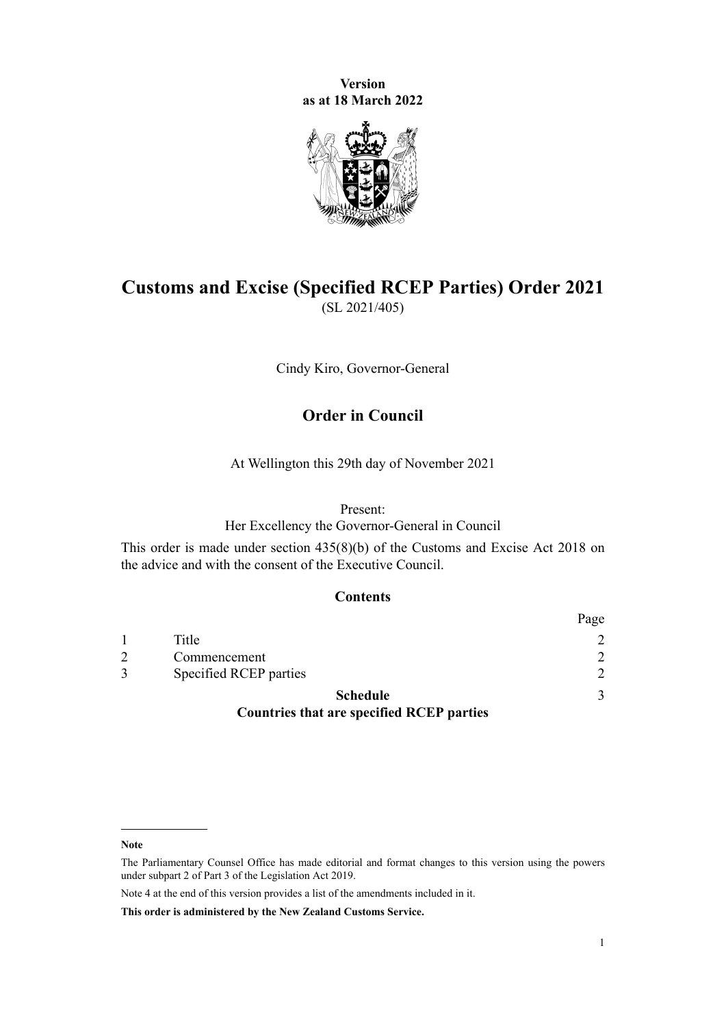**Version as at 18 March 2022**



## **Customs and Excise (Specified RCEP Parties) Order 2021** (SL 2021/405)

Cindy Kiro, Governor-General

### **Order in Council**

At Wellington this 29th day of November 2021

#### Present:

Her Excellency the Governor-General in Council

This order is made under [section 435\(8\)\(b\)](http://legislation.govt.nz/pdflink.aspx?id=DLM7039939) of the [Customs and Excise Act 2018](http://legislation.govt.nz/pdflink.aspx?id=DLM7038920) on the advice and with the consent of the Executive Council.

#### **Contents**

|                                                  | Page          |
|--------------------------------------------------|---------------|
| Title                                            | $\mathcal{D}$ |
| Commencement                                     | $\mathcal{D}$ |
| Specified RCEP parties                           | $\mathcal{D}$ |
| <b>Schedule</b>                                  | 3             |
| <b>Countries that are specified RCEP parties</b> |               |

**Note**

Note 4 at the end of this version provides a list of the amendments included in it.

**This order is administered by the New Zealand Customs Service.**

The Parliamentary Counsel Office has made editorial and format changes to this version using the powers under [subpart 2](http://legislation.govt.nz/pdflink.aspx?id=DLM7298371) of Part 3 of the Legislation Act 2019.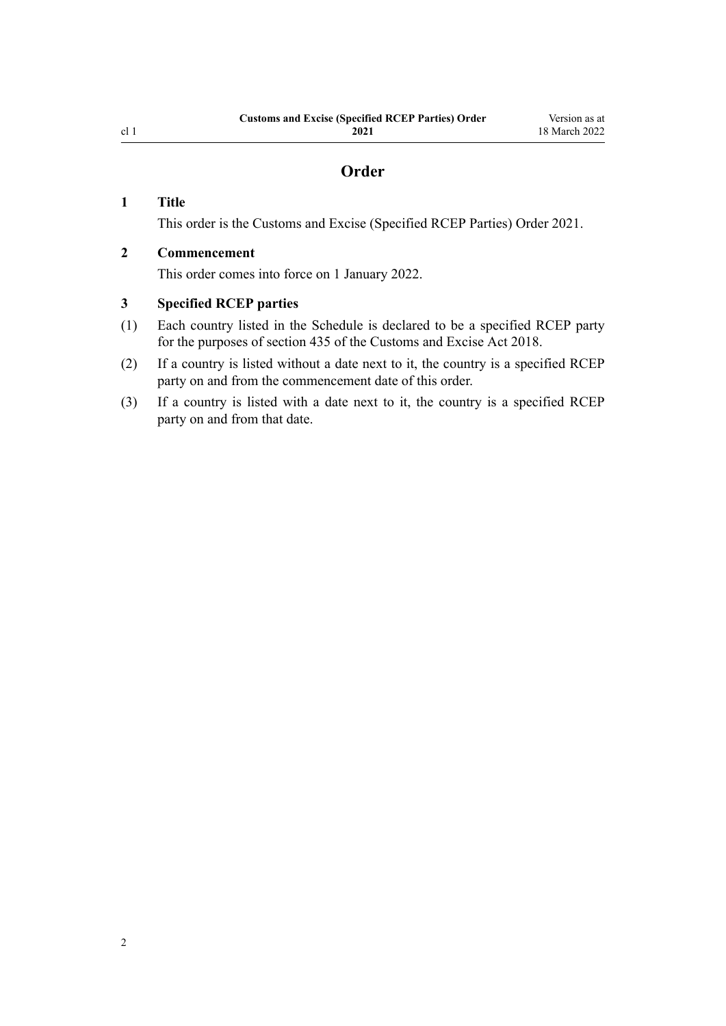### **Order**

#### <span id="page-1-0"></span>**1 Title**

This order is the Customs and Excise (Specified RCEP Parties) Order 2021.

#### **2 Commencement**

This order comes into force on 1 January 2022.

#### **3 Specified RCEP parties**

- (1) Each country listed in the [Schedule](#page-2-0) is declared to be a specified RCEP party for the purposes of [section 435](http://legislation.govt.nz/pdflink.aspx?id=DLM7039939) of the Customs and Excise Act 2018.
- (2) If a country is listed without a date next to it, the country is a specified RCEP party on and from the commencement date of this order.
- (3) If a country is listed with a date next to it, the country is a specified RCEP party on and from that date.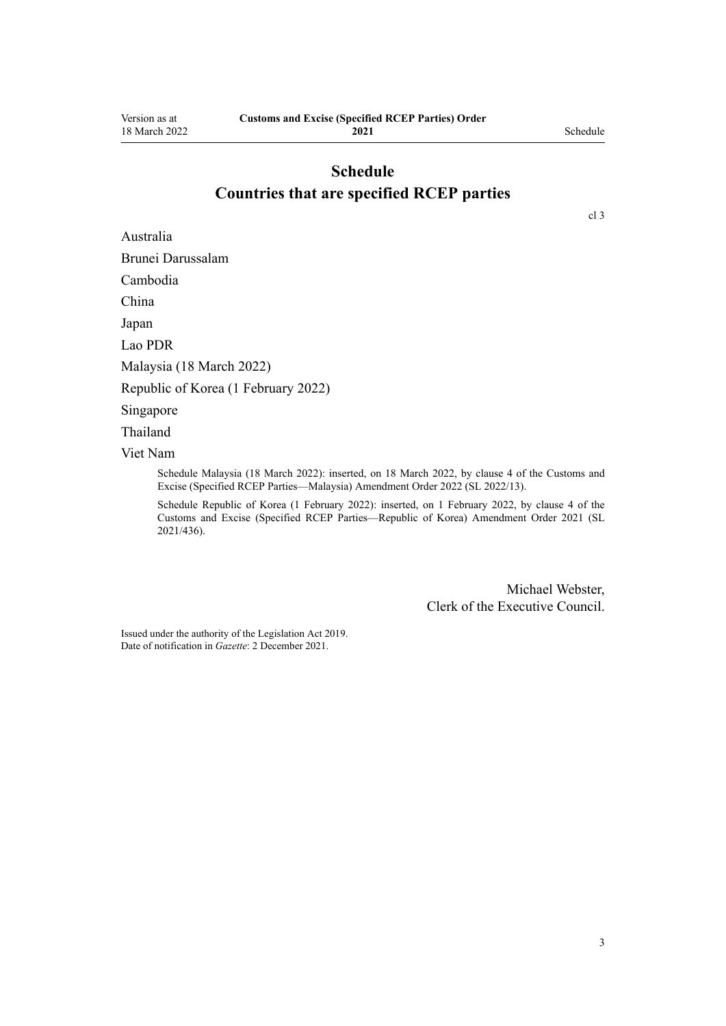# **Schedule Countries that are specified RCEP parties**

<span id="page-2-0"></span>Australia

Brunei Darussalam

Cambodia

China

Japan

Lao PDR

Malaysia (18 March 2022)

Republic of Korea (1 February 2022)

Singapore

Thailand

Viet Nam

Schedule Malaysia (18 March 2022): inserted, on 18 March 2022, by [clause 4](http://legislation.govt.nz/pdflink.aspx?id=LMS636248) of the Customs and Excise (Specified RCEP Parties—Malaysia) Amendment Order 2022 (SL 2022/13).

Schedule Republic of Korea (1 February 2022): inserted, on 1 February 2022, by [clause 4](http://legislation.govt.nz/pdflink.aspx?id=LMS620457) of the Customs and Excise (Specified RCEP Parties—Republic of Korea) Amendment Order 2021 (SL 2021/436).

> Michael Webster, Clerk of the Executive Council.

Issued under the authority of the [Legislation Act 2019](http://legislation.govt.nz/pdflink.aspx?id=DLM7298104). Date of notification in *Gazette*: 2 December 2021.

[cl 3](#page-1-0)

3